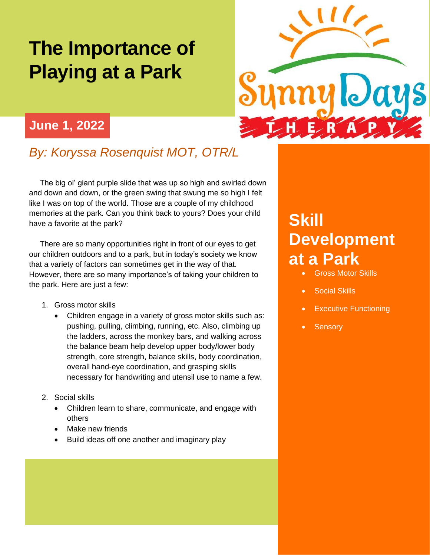## **The Importance of Playing at a Park**



## **June 1, 2022**

## *By: Koryssa Rosenquist MOT, OTR/L*

 The big ol' giant purple slide that was up so high and swirled down and down and down, or the green swing that swung me so high I felt like I was on top of the world. Those are a couple of my childhood memories at the park. Can you think back to yours? Does your child have a favorite at the park?

 There are so many opportunities right in front of our eyes to get our children outdoors and to a park, but in today's society we know that a variety of factors can sometimes get in the way of that. However, there are so many importance's of taking your children to the park. Here are just a few:

- 1. Gross motor skills
	- Children engage in a variety of gross motor skills such as: pushing, pulling, climbing, running, etc. Also, climbing up the ladders, across the monkey bars, and walking across the balance beam help develop upper body/lower body strength, core strength, balance skills, body coordination, overall hand-eye coordination, and grasping skills necessary for handwriting and utensil use to name a few.
- 2. Social skills
	- Children learn to share, communicate, and engage with others
	- Make new friends
	- Build ideas off one another and imaginary play

## **Skill Development at a Park**

- Gross Motor Skills
- Social Skills
- **Executive Functioning**
- **Sensory**